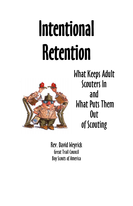# Intentional Retention



What Keeps Adult Scouters In and What Puts Them Out of Scouting

Rev. David Weyrick Great Trail Council Boy Scouts of America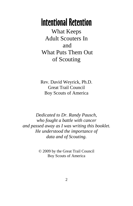# Intentional Retention

What Keeps Adult Scouters In and What Puts Them Out of Scouting

Rev. David Weyrick, Ph.D. Great Trail Council Boy Scouts of America

*Dedicated to Dr. Randy Pausch, who fought a battle with cancer and passed away as I was writing this booklet. He understood the importance of data and of Scouting.*

> © 2009 by the Great Trail Council Boy Scouts of America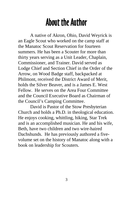# About the Author

A native of Akron, Ohio, David Weyrick is an Eagle Scout who worked on the camp staff at the Manatoc Scout Reservation for fourteen summers. He has been a Scouter for more than thirty years serving as a Unit Leader, Chaplain, Commissioner, and Trainer. David served as Lodge Chief and Section Chief in the Order of the Arrow, on Wood Badge staff, backpacked at Philmont, received the District Award of Merit, holds the Silver Beaver, and is a James E. West Fellow. He serves on the Area Four Committee and the Council Executive Board as Chairman of the Council's Camping Committee.

 David is Pastor of the Stow Presbyterian Church and holds a Ph.D. in theological education. He enjoys cooking, whittling, hiking, Star Trek and is an accomplished musician. He and his wife, Beth, have two children and two wire-haired Dachshunds. He has previously authored a fivevolume set on the history of Manatoc along with a book on leadership for Scouters.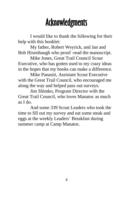# Acknowledgments

 I would like to thank the following for their help with this booklet:

 My father, Robert Weyrick, and Jan and Bob Hixenbaugh who proof -read the manuscript.

 Mike Jones, Great Trail Council Scout Executive, who has gotten used to my crazy ideas in the hopes that my books can make a difference.

 Mike Panasiti, Assistant Scout Executive with the Great Trail Council, who encouraged me along the way and helped pass out surveys.

 Jim Shimko, Program Director with the Great Trail Council, who loves Manatoc as much as I do.

 And some 339 Scout Leaders who took the time to fill out my survey and eat some steak and eggs at the weekly Leaders' Breakfast during summer camp at Camp Manatoc.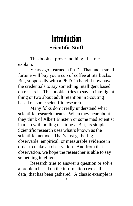# Introduction **Scientific Stuff**

 This booklet proves nothing. Let me explain.

 Years ago I earned a Ph.D. That and a small fortune will buy you a cup of coffee at Starbucks. But, supposedly with a Ph.D. in hand, I now have the credentials to say something intelligent based on research. This booklet tries to say an intelligent thing or two about adult retention in Scouting based on some scientific research.

 Many folks don't really understand what scientific research means. When they hear about it they think of Albert Einstein or some mad scientist in a lab with boiling test tubes. But, its simple. Scientific research uses what's known as the scientific method. That's just gathering observable, empirical, or measurable evidence in order to make an observation. And from that observation, we hope the researcher is able to say something intelligent.

 Research tries to answer a question or solve a problem based on the information (we call it data) that has been gathered. A classic example is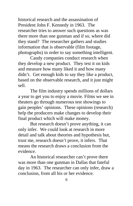historical research and the assassination of President John F. Kennedy in 1963. The researcher tries to answer such questions as was there more than one gunman and if so, where did they stand? The researcher gathers and studies information that is observable (film footage, photographs) in order to say something intelligent.

 Candy companies conduct research when they develop a new product. They test it on kids and measure how many liked it and how many didn't. Get enough kids to say they like a product, based on the observable research, and it just might sell.

 The film industry spends millions of dollars a year to get you to enjoy a movie. Films we see in theaters go through numerous test showings to gain peoples' opinions. These opinions (research) help the producers make changes to develop their final product which will make money.

 But research doesn't prove anything, it can only infer. We could look at research in more detail and talk about theories and hypothesis but, trust me, research doesn't prove, it infers. That means the research draws a conclusion from the evidence.

 An historical researcher can't prove there was more than one gunman in Dallas that fateful day in 1963. The researcher can only infer, draw a conclusion, from all his or her evidence.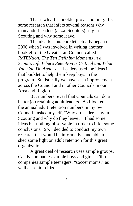That's why this booklet proves nothing. It's some research that infers several reasons why many adult leaders (a.k.a. Scouters) stay in Scouting and why some leave.

 The idea for this booklet actually began in 2006 when I was involved in writing another booklet for the Great Trail Council called *ReTENtion: The Ten Defining Moments in a Scout's Life Where Retention is Critical and What You Can Do About It.* Leaders used the ideas in that booklet to help them keep boys in the program. Statistically we have seen improvement across the Council and in other Councils in our Area and Region.

 But numbers reveal that Councils can do a better job retaining adult leaders. As I looked at the annual adult retention numbers in my own Council I asked myself, "Why do leaders stay in Scouting and why do they leave?" I had some ideas but nothing observable in order to infer some conclusions. So, I decided to conduct my own research that would be informative and able to shed some light on adult retention for this great organization.

 A great deal of research uses sample groups. Candy companies sample boys and girls. Film companies sample teenagers, "soccer moms," as well as senior citizens.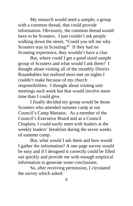My research would need a sample; a group with a common thread, that could provide information. Obviously, the common thread would have to be Scouters. I just couldn't ask people walking down the street, "Could you tell me why Scouters stay in Scouting?" If they had no Scouting experience, they wouldn't have a clue.

 But, where could I get a good sized sample group of Scouters and what would I ask them? I thought about visiting all of the monthly District Roundtables but realized most met on nights I couldn't make because of my church responsibilities. I thought about visiting unit meetings each week but that would involve more time than I could give.

 I finally decided my group would be those Scouters who attended summer camp at our Council's Camp Manatoc. As a member of the Council's Executive Board and as a Council Chaplain, I could easily meet with leaders at the weekly leaders' breakfast during the seven weeks of summer camp.

 But, what would I ask them and how would I gather the information? A one page survey would be easy and if I designed it correctly could be filled out quickly and provide me with enough empirical information to generate some conclusions.

 So, after receiving permission, I circulated the survey which asked: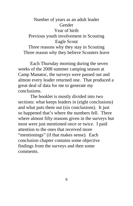#### Number of years as an adult leader **Gender** Year of birth Previous youth involvement in Scouting Eagle Scout

Three reasons why they stay in Scouting Three reason why they believe Scouters leave

 Each Thursday morning during the seven weeks of the 2008 summer camping season at Camp Manatoc, the surveys were passed out and almost every leader returned one. That produced a great deal of data for me to generate my conclusions.

 The booklet is mostly divided into two sections: what keeps leaders in (eight conclusions) and what puts them out (six conclusions). It just so happened that's where the numbers fell. There where almost fifty reasons given in the surveys but most were just mentioned once or twice. I paid attention to the ones that received more "mentionings" (if that makes sense). Each conclusion chapter contains some objective findings from the surveys and then some comments.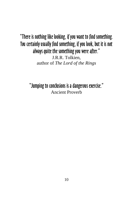#### "There is nothing like looking, if you want to find something. You certainly usually find something, if you look, but it is not always quite the something you were after." J.R.R. Tolkien, author of *The Lord of the Rings*

"Jumping to conclusions is a dangerous exercise." Ancient Proverb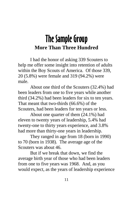# The Sample Group **More Than Three Hundred**

 I had the honor of asking 339 Scouters to help me offer some insight into retention of adults within the Boy Scouts of America. Of those 339, 20 (5.8%) were female and 319 (94.2%) were male.

 About one third of the Scouters (32.4%) had been leaders from one to five years while another third (34.2%) had been leaders for six to ten years. That meant that two-thirds (66.6%) of the Scouters, had been leaders for ten years or less.

 About one quarter of them (24.1%) had eleven to twenty years of leadership, 5.4% had twenty-one to thirty years experience, and 3.8% had more than thirty-one years in leadership.

 They ranged in age from 18 (born in 1990) to 70 (born in 1938). The average age of the Scouters was about 46

 But if we break that down, we find the average birth year of those who had been leaders from one to five years was 1968. And, as you would expect, as the years of leadership experience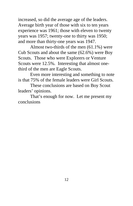increased, so did the average age of the leaders. Average birth year of those with six to ten years experience was 1961; those with eleven to twenty years was 1957; twenty-one to thirty was 1950; and more than thirty-one years was 1947.

 Almost two-thirds of the men (61.1%) were Cub Scouts and about the same (62.6%) were Boy Scouts. Those who were Explorers or Venture Scouts were 12.5%. Interesting that almost onethird of the men are Eagle Scouts.

 Even more interesting and something to note is that 75% of the female leaders were Girl Scouts.

 These conclusions are based on Boy Scout leaders' opinions.

 That's enough for now. Let me present my conclusions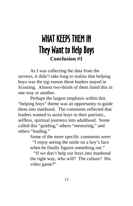# WHAT KEEPS THEM IN They Want to Help Boys **Conclusion #1**

 As I was collecting the data from the surveys, it didn't take long to realize that helping boys was the top reason these leaders stayed in Scouting. Almost two-thirds of them listed this in one way or another.

 Perhaps the largest emphasis within this "helping boys" theme was an opportunity to guide them into manhood. The comments reflected that leaders wanted to assist boys in their patriotic, selfless, spiritual journeys into adulthood. Some called this "guiding," others "mentoring," and others "leading."

Some of the more specific comments were:

 "I enjoy seeing the smile on a boy's face when he finally figures something out."

 "If we don't help our boys into manhood the right way, who will? The culture? His video game?"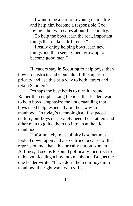"I want to be a part of a young man's life and help him become a responsible God loving adult who cares about this country."

 "To help the boys learn the real, important things that make a difference."

 "I really enjoy helping boys learn new things and then seeing them grow up to become good men."

 If leaders stay in Scouting to help boys, then how do Districts and Councils lift this up as a priority and use this as a way to both attract and retain Scouters?

 Perhaps the best bet is to turn it around. Rather than emphasizing the idea that leaders want to help boys, emphasize the understanding that boys need help; especially on their way to manhood. In today's technological, fast paced culture, our boys desperately need their fathers and other men to guide them up into an authentic manhood.

 Unfortunately, masculinity is sometimes looked down upon and also vilified because of the repression men have historically put on women. At times, it seems to sound politically incorrect to talk about leading a boy into manhood. But, as the one leader wrote, "If we don't help our boys into manhood the right way, who will?"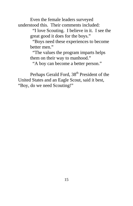Even the female leaders surveyed understood this. Their comments included:

> "I love Scouting. I believe in it. I see the great good it does for the boys."

 "Boys need these experiences to become better men."

 "The values the program imparts helps them on their way to manhood."

"A boy can become a better person."

Perhaps Gerald Ford, 38<sup>th</sup> President of the United States and an Eagle Scout, said it best, "Boy, do we need Scouting!"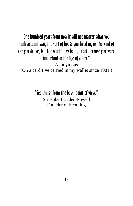#### "One hundred years from now it will not matter what your bank account was, the sort of house you lived in, or the kind of car you drove; but the world may be different because you were important in the life of a boy." Anonymous (On a card I've carried in my wallet since 1981.)

"See things from the boys' point of view."

Sir Robert Baden-Powell Founder of Scouting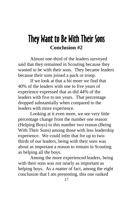# They Want to Be With Their Sons **Conclusion #2**

 Almost one-third of the leaders surveyed said that they remained in Scouting because they wanted to be with their sons. They became leaders because their sons joined a pack or troop.

 If we look at that a bit more we find that 40% of the leaders with one to five years of experience expressed that as did 44% of the leaders with five to ten years. That percentage dropped substantially when compared to the leaders with more experience.

 Looking at it even more, we see very little percentage change from the number one reason (Helping Boys) to this number two reason (Being With Their Sons) among those with less leadership experience. We could infer that for up to twothirds of our leaders, being with their sons was about as important a reason to remain in Scouting as helping all the boys.

 Among the more experienced leaders, being with their sons was not nearly as important as helping boys. As a matter of fact, among the eight conclusion that I am presenting, this one ranked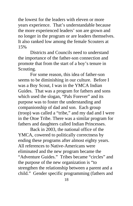the lowest for the leaders with eleven or more years experience. That's understandable because the more experienced leaders' son are grown and no longer in the program or are leaders themselves. It also ranked low among the female Scouters at 15%

 Districts and Councils need to understand the importance of the father-son connection and promote that from the start of a boy's tenure in Scouting.

 For some reason, this idea of father-son seems to be diminishing in our culture. Before I was a Boy Scout, I was in the YMCA Indian Guides. That was a program for fathers and sons which used the slogan, "Pals Forever" and its purpose was to foster the understanding and companionship of dad and son. Each group (troop) was called a "tribe," and my dad and I were in the Otoe Tribe. There was a similar program for fathers and daughters called Indian Princesses.

 Back in 2003, the national office of the YMCA, cowered to politically correctness by ending these programs after almost eighty years. All references to Native-Americans were eliminated and the new program became the "Adventure Guides." Tribes became "circles" and the purpose of the new organization is "to strengthen the relationship between a parent and a child." Gender specific programming (fathers and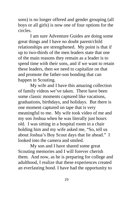sons) is no longer offered and gender grouping (all boys or all girls) is now one of four options for the circles.

 I am sure Adventure Guides are doing some great things and I have no doubt parent/child relationships are strengthened. My point is that if up to two-thirds of the men leaders state that one of the main reasons they remain as a leader is to spend time with their sons, and if we want to retain these leaders, then we need to capitalize on that and promote the father-son bonding that can happen in Scouting.

 My wife and I have this amazing collection of family videos we've taken. There have been some classic moments captured like vacations, graduations, birthdays, and holidays. But there is one moment captured on tape that is very meaningful to me. My wife took video of me and my son Joshua when he was literally just hours old. I was sitting in a hospital room in a chair holding him and my wife asked me, "So, tell us about Joshua's Boy Scout days that lie ahead." I looked into the camera and smiled.

 My son and I have shared some great Scouting memories and I will forever cherish them. And now, as he is preparing for college and adulthood, I realize that these experiences created an everlasting bond. I have had the opportunity to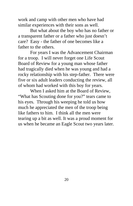work and camp with other men who have had similar experiences with their sons as well.

 But what about the boy who has no father or a transparent father or a father who just doesn't care? Easy - the father of one becomes like a father to the others.

 For years I was the Advancement Chairman for a troop. I will never forget one Life Scout Board of Review for a young man whose father had tragically died when he was young and had a rocky relationship with his step-father. There were five or six adult leaders conducting the review, all of whom had worked with this boy for years.

 When I asked him at the Board of Review, "What has Scouting done for you?" tears came to his eyes. Through his weeping he told us how much he appreciated the men of the troop being like fathers to him. I think all the men were tearing up a bit as well. It was a proud moment for us when he became an Eagle Scout two years later.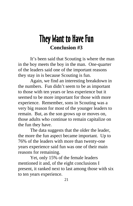### They Want to Have Fun **Conclusion #3**

 It's been said that Scouting is where the man in the boy meets the boy in the man. One-quarter of the leaders said one of the important reasons they stay in is because Scouting is fun.

 Again, we find an interesting breakdown in the numbers. Fun didn't seem to be as important to those with ten years or less experience but it seemed to be more important for those with more experience. Remember, sons in Scouting was a very big reason for most of the younger leaders to remain. But, as the son grows up or moves on, those adults who continue to remain capitalize on the fun they have.

 The data suggests that the older the leader, the more the fun aspect became important. Up to 76% of the leaders with more than twenty-one years experience said fun was one of their main reasons for remaining.

 Yet, only 15% of the female leaders mentioned it and, of the eight conclusions I present, it ranked next to last among those with six to ten years experience.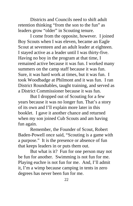Districts and Councils need to shift adult retention thinking "from the son to the fun" as leaders grow "older" in Scouting tenure.

 I come from the opposite, however. I joined Boy Scouts when I was eleven, became an Eagle Scout at seventeen and an adult leader at eighteen. I stayed active as a leader until I was thirty-five. Having no boy in the program at that time, I remained active because it was fun. I worked many summers on the camp staff because it was fun. Sure, it was hard work at times, but it was fun. I took Woodbadge at Philmont and it was fun. I ran District Roundtables, taught training, and served as a District Commissioner because it was fun.

 But I dropped out of Scouting for a few years because it was no longer fun. That's a story of its own and I'll explain more later in this booklet. I gave it another chance and returned when my son joined Cub Scouts and am having fun again.

 Remember, the Founder of Scout, Robert Baden-Powell once said, "Scouting is a game with a purpose." It is the presence or absence of fun that keeps leaders in or puts them out.

 But what is it? Fun for one person may not be fun for another. Swimming is not fun for me. Playing euchre is not fun for me. And, I'll admit it, I'm a wimp because camping in tents in zero degrees has never been fun for me.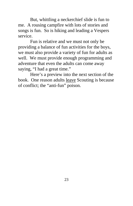But, whittling a neckerchief slide is fun to me. A rousing campfire with lots of stories and songs is fun. So is hiking and leading a Vespers service.

 Fun is relative and we must not only be providing a balance of fun activities for the boys, we must also provide a variety of fun for adults as well. We must provide enough programming and adventure that even the adults can come away saying, "I had a great time."

 Here's a preview into the next section of the book. One reason adults leave Scouting is because of conflict; the "anti-fun" poison.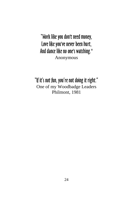"Work like you don't need money, Love like you've never been hurt, And dance like no one's watching." Anonymous

"If it's not fun, you're not doing it right." One of my Woodbadge Leaders Philmont, 1981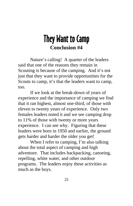# They Want to Camp **Conclusion #4**

 Nature's calling! A quarter of the leaders said that one of the reasons they remain in Scouting is because of the camping. And it's not just that they want to provide opportunities for the Scouts to camp, it's that the leaders want to camp, too.

 If we look at the break-down of years of experience and the importance of camping we find that it ran highest, almost one-third, of those with eleven to twenty years of experience. Only two females leaders noted it and we see camping drop to 11% of those with twenty or more years experience. I can see why. Figuring that these leaders were born in 1950 and earlier, the ground gets harder and harder the older you get!

 When I refer to camping, I'm also talking about the total aspect of camping and high adventure. That includes backpacking, canoeing, repelling, white water, and other outdoor programs. The leaders enjoy these activities as much as the boys.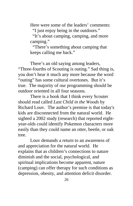Here were some of the leaders' comments:

"I just enjoy being in the outdoors."

 "It's about camping, camping, and more camping."

 "There's something about camping that keeps calling me back."

 There's an old saying among leaders, "Three-fourths of Scouting is outing." Sad thing is, you don't hear it much any more because the word "outing" has some cultural overtones. But it's true. The majority of our programming should be outdoor oriented in all four seasons.

 There is a book that I think every Scouter should read called *Last Child in the Woods* by Richard Louv. The author's premise is that today's kids are disconnected from the natural world. He sighted a 2002 study (research) that reported eightyear-olds could identify Pokemon characters more easily than they could name an otter, beetle, or oak tree.

 Louv demands a return to an awareness of and appreciation for the natural world. He explains that as children's connections to nature diminish and the social, psychological, and spiritual implications become apparent, nature (camping) can offer therapy for such conditions as depression, obesity, and attention deficit disorder.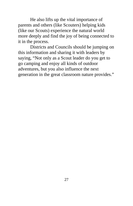He also lifts up the vital importance of parents and others (like Scouters) helping kids (like our Scouts) experience the natural world more deeply and find the joy of being connected to it in the process.

 Districts and Councils should be jumping on this information and sharing it with leaders by saying, "Not only as a Scout leader do you get to go camping and enjoy all kinds of outdoor adventures, but you also influence the next generation in the great classroom nature provides."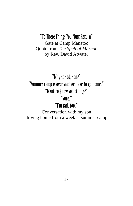#### "To These Things You Must Return"

Gate at Camp Manatoc Quote from *The Spell of Marnoc* by Rev. David Atwater

"Why so sad, son?" "Summer camp is over and we have to go home." "Want to know something?" "Sure." "I'm sad, too." Conversation with my son driving home from a week at summer camp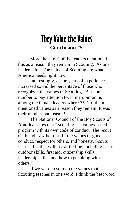## They Value the Values **Conclusion #5**

 More than 16% of the leaders mentioned this as a reason they remain in Scouting. As one leader said, "The values of Scouting are what America needs right now."

 Interestingly, as the years of experience increased so did the percentage of those who recognized the values of Scouting. But, the number to pay attention to, in my opinion, is among the female leaders where 75% of them mentioned values as a reason they remain. It was their number one reason!

 The National Council of the Boy Scouts of America states that "Scouting is a values-based program with its own code of conduct. The Scout Oath and Law help instill the values of good conduct, respect for others, and honesty. Scouts learn skills that will last a lifetime, including basic outdoor skills, first aid, citizenship skills, leadership skills, and how to get along with others."

 If we were to sum up the values that Scouting teaches in one word, I think the best word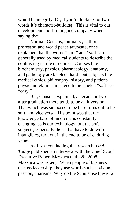would be integrity. Or, if you're looking for two words it's character-building. This is vital to our development and I'm in good company when saying that.

 Norman Cousins, journalist, author, professor, and world peace advocate, once explained that the words "hard" and "soft" are generally used by medical students to describe the contrasting nature of courses. Courses like biochemistry, physics, pharmacology, anatomy, and pathology are labeled "hard" but subjects like medical ethics, philosophy, history, and patientphysician relationships tend to be labeled "soft" or "easy."

 But, Cousins explained, a decade or two after graduation there tends to be an inversion. That which was supposed to be hard turns out to be soft, and vice versa. His point was that the knowledge base of medicine is constantly changing, as is our technology, but the soft subjects, especially those that have to do with intangibles, turn out in the end to be of enduring value.

 As I was conducting this research, *USA Today* published an interview with the Chief Scout Executive Robert Mazzuca (July 28, 2008). Mazzuca was asked, "When people of business discuss leadership, they use words such as vision, passion, charisma. Why do the Scouts use these 12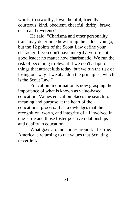words: trustworthy, loyal, helpful, friendly, courteous, kind, obedient, cheerful, thrifty, brave, clean and reverent?"

 He said, "Charisma and other personality traits may determine how far up the ladder you go, but the 12 points of the Scout Law define your character. If you don't have integrity, you're not a good leader no matter how charismatic. We run the risk of becoming irrelevant if we don't adapt to things that attract kids today, but we run the risk of losing our way if we abandon the principles, which is the Scout Law."

 Education in our nation is now grasping the importance of what is known as value-based education. Values education places the search for meaning and purpose at the heart of the educational process. It acknowledges that the recognition, worth, and integrity of all involved in one's life and those foster positive relationships and quality in education.

What goes around comes around. It's true. America is returning to the values that Scouting never left.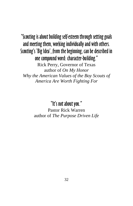"Scouting is about building self-esteem through setting goals and meeting them, working individually and with others. Scouting's 'Big Idea', from the beginning, can be described in one compound word: character-building." Rick Perry, Governor of Texas author of *On My Honor Why the American Values of the Boy Scouts of America Are Worth Fighting For*

"It's not about you."

Pastor Rick Warren author of *The Purpose Driven Life*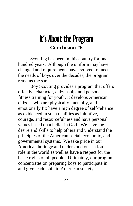### It's About the Program **Conclusion #6**

 Scouting has been in this country for one hundred years. Although the uniform may have changed and requirements have evolved to meet the needs of boys over the decades, the program remains the same.

 Boy Scouting provides a program that offers effective character, citizenship, and personal fitness training for youth. It develops American citizens who are physically, mentally, and emotionally fit; have a high degree of self-reliance as evidenced in such qualities as initiative, courage, and resourcefulness and have personal values based on a belief in God. We have the desire and skills to help others and understand the principles of the American social, economic, and governmental systems. We take pride in our American heritage and understand our nation's role in the world as well as have a respect for the basic rights of all people. Ultimately, our program concentrates on preparing boys to participate in and give leadership to American society.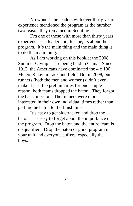No wonder the leaders with over thirty years experience mentioned the program as the number two reason they remained in Scouting.

 I'm one of those with more than thirty years experience as a leader and, for me, its about the program. It's the main thing and the main thing is to do the main thing.

 As I am working on this booklet the 2008 Summer Olympics are being held in China. Since 1912, the Americans have dominated the 4 x 100 Meters Relay in track and field. But in 2008, our runners (both the men and women) didn't even make it past the preliminaries for one simple reason; both teams dropped the baton. They forgot the basic mission. The runners were more interested in their own individual times rather than getting the baton to the finish line.

 It's easy to get sidetracked and drop the baton. It's easy to forget about the importance of the program. Drop the baton and the entire team is disqualified. Drop the baton of good program in your unit and everyone suffers, especially the boys.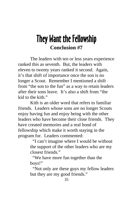# They Want the Fellowship **Conclusion #7**

 The leaders with ten or less years experience ranked this as seventh. But, the leaders with eleven to twenty years ranked it second. Again, it's that shift of importance once the son is no longer a Scout. Remember I mentioned a shift from "the son to the fun" as a way to retain leaders after their sons leave. It's also a shift from "the kid to the kith."

 Kith is an older word that refers to familiar friends. Leaders whose sons are no longer Scouts enjoy having fun and enjoy being with the other leaders who have become their close friends. They have created memories and a real bond of fellowship which make it worth staying in the program for. Leaders commented:

> "I can't imagine where I would be without the support of the other leaders who are my closest friends."

 "We have more fun together than the boys!"

 "Not only are these guys my fellow leaders but they are my good friends."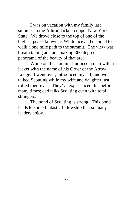I was on vacation with my family last summer in the Adirondacks in upper New York State. We drove close to the top of one of the highest peaks known as Whiteface and decided to walk a one mile path to the summit. The view was breath taking and an amazing 360 degree panorama of the beauty of that area.

 While on the summit, I noticed a man with a jacket with the name of his Order of the Arrow Lodge. I went over, introduced myself, and we talked Scouting while my wife and daughter just rolled their eyes. They've experienced this before, many times; dad talks Scouting even with total strangers.

 The bond of Scouting is strong. This bond leads to some fantastic fellowship that so many leaders enjoy.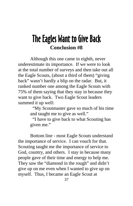### The Eagles Want to Give Back **Conclusion #8**

 Although this one came in eighth, never underestimate its importance. If we were to look at the total number of surveys and then take out all the Eagle Scouts, (about a third of them) "giving back" wasn't hardly a blip on the radar. But, it ranked number one among the Eagle Scouts with 75% of them saying that they stay in because they want to give back. Two Eagle Scout leaders summed it up well:

> "My Scoutmaster gave so much of his time and taught me to give as well."

 "I have to give back to what Scouting has given me."

 Bottom line - most Eagle Scouts understand the importance of service. I can vouch for that. Scouting taught me the importance of service to God, country, and others. I stay in because many people gave of their time and energy to help me. They saw the "diamond in the rough" and didn't give up on me even when I wanted to give up on myself. Thus, I became an Eagle Scout at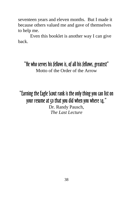seventeen years and eleven months. But I made it because others valued me and gave of themselves to help me.

 Even this booklet is another way I can give back.

"He who serves his fellows is, of all his fellows, greatest" Motto of the Order of the Arrow

"Earning the Eagle Scout rank is the only thing you can list on your resume at 50 that you did when you where 14." Dr. Randy Pausch, *The Last Lecture*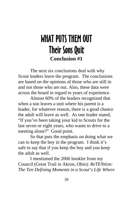# WHAT PUTS THEM OUT Their Sons Quit **Conclusion #1**

 The next six conclusions deal with why Scout leaders leave the program. The conclusions are based on the opinions of those who are still in and not those who are out. Also, these data were across the board in regard to years of experience.

 Almost 60% of the leaders recognized that when a son leaves a unit where his parent is a leader, for whatever reason, there is a good chance the adult will leave as well. As one leader stated, "If you've been taking your kid to Scouts for the last seven or eight years, who wants to drive to a meeting alone?" Good point.

 So that puts the emphasis on doing what we can to keep the boy in the program. I think it's safe to say that if you keep the boy and you keep the adult as well.

 I mentioned the 2006 booklet from my Council (Great Trail in Akron, Ohio): *ReTENtion: The Ten Defining Moments in a Scout's Life Where*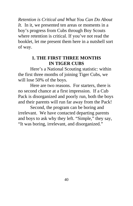*Retention is Critical and What You Can Do About It.* In it, we presented ten areas or moments in a boy's progress from Cubs through Boy Scouts where retention is critical. If you've not read the booklet, let me present them here in a nutshell sort of way.

#### **1. THE FIRST THREE MONTHS IN TIGER CUBS**

 Here's a National Scouting statistic: within the first three months of joining Tiger Cubs, we will lose 50% of the boys.

 Here are two reasons. For starters, there is no second chance at a first impression. If a Cub Pack is disorganized and poorly run, both the boys and their parents will run far away from the Pack!

 Second, the program can be boring and irrelevant. We have contacted departing parents and boys to ask why they left. "Simple," they say, "It was boring, irrelevant, and disorganized."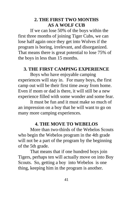#### **2. THE FIRST TWO MONTHS AS A WOLF CUB**

 If we can lose 50% of the boys within the first three months of joining Tiger Cubs, we can lose half again once they get into Wolves if the program is boring, irrelevant, and disorganized. That means there is great potential to lose 75% of the boys in less than 15 months.

#### **3. THE FIRST CAMPING EXPERIENCE**

 Boys who have enjoyable camping experiences will stay in. For many boys, the first camp out will be their first time away from home. Even if mom or dad is there, it will still be a new experience filled with some wonder and some fear.

 It must be fun and it must make so much of an impression on a boy that he will want to go on many more camping experiences.

#### **4. THE MOVE TO WEBELOS**

 More than two-thirds of the Webelos Scouts who begin the Webelos program in the 4th grade will not be a part of the program by the beginning of the 5th grade.

 That means that if one hundred boys join Tigers, perhaps ten will actually move on into Boy Scouts. So, getting a boy into Webelos is one thing, keeping him in the program is another.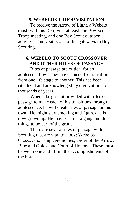#### **5. WEBELOS TROOP VISITATION**

 To receive the Arrow of Light, a Webelo must (with his Den) visit at least one Boy Scout Troop meeting, and one Boy Scout outdoor activity. This visit is one of his gateways to Boy Scouting.

#### **6. WEBELO TO SCOUT CROSSOVER AND OTHER RITES OF PASSAGE**

 Rites of passage are critical for an adolescent boy. They have a need for transition from one life stage to another. This has been ritualized and acknowledged by civilizations for thousands of years.

 When a boy is not provided with rites of passage to make each of his transitions through adolescence, he will create rites of passage on his own. He might start smoking and figures he is now grown up. He may seek out a gang and do things to be part of the group.

 There are several rites of passage within Scouting that are vital to a boy: Webelos Crossovers, camp ceremonies, Order of the Arrow, Blue and Golds, and Court of Honors. These must be well done and lift up the accomplishments of the boy.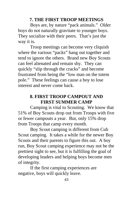#### **7. THE FIRST TROOP MEETINGS**

 Boys are, by nature "pack animals." Older boys do not naturally gravitate to younger boys. They socialize with their peers. That's just the way it is.

 Troop meetings can become very cliquish where the various "packs" hang out together and tend to ignore the others. Brand new Boy Scouts can feel alienated and remain shy. They can quickly "slip through the cracks" and become frustrated from being the "low man on the totem pole." These feelings can cause a boy to lose interest and never come back.

#### **8. FIRST TROOP CAMPOUT AND FIRST SUMMER CAMP**

 Camping is vital to Scouting. We know that 51% of Boy Scouts drop out from Troops with five or fewer campouts a year. But, only 15% drop from Troops that camp every month.

 Boy Scout camping is different from Cub Scout camping. It takes a while for the newer Boy Scouts and their parents to figure this out. A boy run, Boy Scout camping experience may not be the prettiest sight to see, but it is fulfilling the goal of developing leaders and helping boys become men of integrity.

 If the first camping experiences are negative, boys will quickly leave.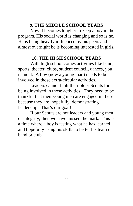#### **9. THE MIDDLE SCHOOL YEARS**

 Now it becomes tougher to keep a boy in the program. His social world is changing and so is he. He is being heavily influenced by his peers and almost overnight he is becoming interested in girls.

#### **10. THE HIGH SCHOOL YEARS**

 With high school comes activities like band, sports, theater, clubs, student council, dances, you name it. A boy (now a young man) needs to be involved in those extra-circular activities.

 Leaders cannot fault their older Scouts for being involved in those activities. They need to be thankful that their young men are engaged in these because they are, hopefully, demonstrating leadership. That's our goal!

 If our Scouts are not leaders and young men of integrity, then we have missed the mark. This is a time where a boy is testing what he has learned and hopefully using his skills to better his team or band or club.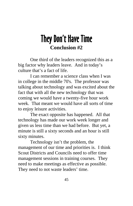# They Don't Have Time **Conclusion #2**

 One third of the leaders recognized this as a big factor why leaders leave. And in today's culture that's a fact of life.

 I can remember a science class when I was in college in the middle 70's. The professor was talking about technology and was excited about the fact that with all the new technology that was coming we would have a twenty-five hour work week. That meant we would have all sorts of time to enjoy leisure activities.

 The exact opposite has happened. All that technology has made our work week longer and given us less time than we had before. But yet, a minute is still a sixty seconds and an hour is still sixty minutes.

 Technology isn't the problem, the management of our time and priorities is. I think Scout Districts and Councils need to offer time management sessions in training courses. They need to make meetings as effective as possible. They need to not waste leaders' time.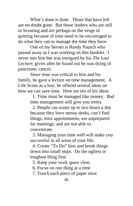What's done is done. Those that have left are no doubt gone. But those leaders who are still in Scouting and are perhaps on the verge of quitting because of time need to be encouraged to do what they can to manage the time they have.

 One of my heroes is Randy Pausch who passed away as I was working on this booklet. I never met him but was intrigued by his *The Last Lecture*, given after he found out he was dying of pancreatic cancer.

 Since time was critical to him and his family, he gave a lecture on time management. A Life Scout as a boy, he offered several ideas on how we can save time. Here are ten of his ideas:

> 1. Time must be managed like money. Bad time management will give you stress.

 2. People can waste up to two hours a day because they have messy desks, can't find things, miss appointments, are unprepared for meetings, and are not able to concentrate.

 3. Managing your time well will make you successful in all areas of your life.

 4. Create "To Do" lists and break things down into small steps. Do the ugliest or toughest thing first.

5. Keep your work space clear.

6. Focus on one thing at a time

7. Touch each piece of paper once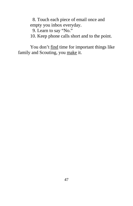8. Touch each piece of email once and empty you inbox everyday.

9. Learn to say "No."

10. Keep phone calls short and to the point.

You don't find time for important things like family and Scouting, you make it.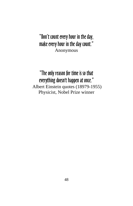#### "Don't count every hour in the day, make every hour in the day count." Anonymous

#### "The only reason for time is so that everything doesn't happen at once." Albert Einstein quotes (18979-1955) Physicist, Nobel Prize winner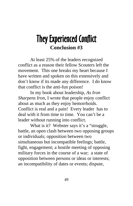# They Experienced Conflict **Conclusion #3**

 At least 25% of the leaders recognized conflict as a reason their fellow Scouters left the movement. This one breaks my heart because I have written and spoken on this extensively and don't know if its made any difference. I do know that conflict is the anti-fun poison!

 In my book about leadership, *As Iron Sharpens Iron*, I wrote that people enjoy conflict about as much as they enjoy hemorrhoids. Conflict is real and a pain! Every leader has to deal with it from time to time. You can't be a leader without running into conflict.

What is it? Webster says it's a "struggle, battle, an open clash between two opposing groups or individuals; opposition between two simultaneous but incompatible feelings; battle, fight, engagement; a hostile meeting of opposing military forces in the course of a war; a state of opposition between persons or ideas or interests; an incompatibility of dates or events; dispute,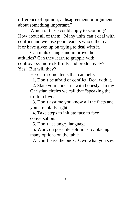difference of opinion; a disagreement or argument about something important."

 Which of these could apply to scouting? How about all of them! Many units can't deal with conflict and we lose good leaders who either cause it or have given up on trying to deal with it.

 Can units change and improve their attitudes? Can they learn to grapple with controversy more skillfully and productively? Yes! But will they?

Here are some items that can help:

1. Don't be afraid of conflict. Deal with it.

 2. State your concerns with honesty. In my Christian circles we call that "speaking the truth in love"

 3. Don't assume you know all the facts and you are totally right.

 4. Take steps to initiate face to face conversation.

5. Don't use angry language.

 6. Work on possible solutions by placing many options on the table.

7. Don't pass the buck. Own what you say.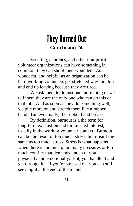# They Burned Out **Conclusion #4**

 Scouting, churches, and other non-profit volunteer organizations can have something in common; they can shoot their wounded. As wonderful and helpful as an organization can be, hard working volunteers get stretched way too thin and end up leaving because they are tired.

 We ask them to do just one more thing or we tell them they are the only one who can do this or that job. And as soon as they do something well, we pile more on and stretch them like a rubber band. But eventually, the rubber band breaks.

 By definition, burnout is a the term for long-term exhaustion and diminished interest, usually in the work or volunteer context. Burnout can be the result of too much stress, but it isn't the same as too much stress. Stress is what happens when there is too much; too many pressures or too much conflict that demands much of you physically and emotionally. But, you handle it and get through it. If you're stressed out you can still see a light at the end of the tunnel.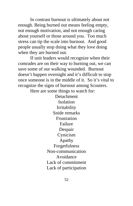In contrast burnout is ultimately about not enough. Being burned out means feeling empty, not enough motivation, and not enough caring about yourself or those around you. Too much stress can tip the scale into burnout. And good people usually stop doing what they love doing when they are burned out.

 If unit leaders would recognize when their comrades are on their way to burning out, we can save some of our walking wounded. Burnout doesn't happen overnight and it's difficult to stop once someone is in the middle of it. So it's vital to recognize the signs of burnout among Scouters.

Here are some things to watch for:

Detachment Isolation Irritability Snide remarks **Frustration** Failure Despair Cynicism Apathy Forgetfulness Non-communication Avoidance Lack of commitment Lack of participation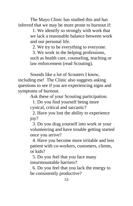The Mayo Clinic has studied this and has inferred that we may be more prone to burnout if:

> 1. We identify so strongly with work that we lack a reasonable balance between work and our personal life.

2. We try to be everything to everyone.

 3. We work in the helping professions, such as health care, counseling, teaching or law enforcement (read Scouting).

 Sounds like a lot of Scouters I know, including me! The Clinic also suggests asking questions to see if you are experiencing signs and symptoms of burnout.

Ask these of your Scouting participation.

 1. Do you find yourself being more cynical, critical and sarcastic?

 2. Have you lost the ability to experience joy?

 3. Do you drag yourself into work or your volunteering and have trouble getting started once you arrive?

 4. Have you become more irritable and less patient with co-workers, customers, clients, or kids?

 5. Do you feel that you face many insurmountable barriers?

 6. Do you feel that you lack the energy to be consistently productive?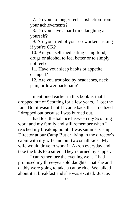7. Do you no longer feel satisfaction from your achievements?

 8. Do you have a hard time laughing at yourself?

 9. Are you tired of your co-workers asking if you're OK?

 10. Are you self-medicating using food, drugs or alcohol to feel better or to simply not feel?

 11. Have your sleep habits or appetite changed?

 12. Are you troubled by headaches, neck pain, or lower back pain?

 I mentioned earlier in this booklet that I dropped out of Scouting for a few years. I lost the fun. But it wasn't until I came back that I realized I dropped out because I was burned out.

 I had lost the balance between my Scouting work and my family and still remember when I reached my breaking point. I was summer Camp Director at our Camp Butler living in the director's cabin with my wife and our two small kids. My wife would drive to work in Akron everyday and take the kids to a sitter. They returned by supper.

 I can remember the evening well. I had promised my three-year-old daughter that she and daddy were going to take a canoe ride. We talked about it at breakfast and she was excited. Just as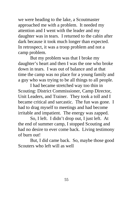we were heading to the lake, a Scoutmaster approached me with a problem. It needed my attention and I went with the leader and my daughter was in tears. I returned to the cabin after dark because it took much longer than expected. In retrospect, it was a troop problem and not a camp problem.

 But my problem was that I broke my daughter's heart and then I was the one who broke down in tears. I was out of balance and at that time the camp was no place for a young family and a guy who was trying to be all things to all people.

 I had became stretched way too thin in Scouting: District Commissioner, Camp Director, Unit Leaders, and Trainer. They took a toll and I became critical and sarcastic. The fun was gone. I had to drag myself to meetings and had become irritable and impatient. The energy was zapped.

 So, I left. I didn't drop out, I just left. At the end of summer camp, I stopped Scouting and had no desire to ever come back. Living testimony of burn out!

 But, I did came back. So, maybe those good Scouters who left will as well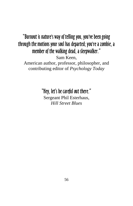#### "Burnout is nature's way of telling you, you've been going through the motions your soul has departed; you're a zombie, a member of the walking dead, a sleepwalker." Sam Keen, American author, professor, philosopher, and contributing editor of *Psychology Today*

"Hey, let's be careful out there." Sergeant Phil Esterhaus, *Hill Street Blues*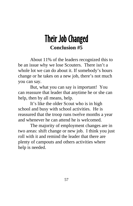# Their Job Changed **Conclusion #5**

 About 11% of the leaders recognized this to be an issue why we lose Scouters. There isn't a whole lot we can do about it. If somebody's hours change or he takes on a new job, there's not much you can say.

 But, what you can say is important! You can reassure that leader that anytime he or she can help, then by all means, help.

 It's like the older Scout who is in high school and busy with school activities. He is reassured that the troop runs twelve months a year and whenever he can attend he is welcomed.

 The majority of employment changes are in two areas: shift change or new job. I think you just roll with it and remind the leader that there are plenty of campouts and others activities where help is needed.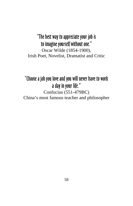#### "The best way to appreciate your job is to imagine yourself without one." Oscar Wilde (1854-1900), Irish Poet, Novelist, Dramatist and Critic

#### "Choose a job you love and you will never have to work a day in your life." Confucius (551-479BC) China's most famous teacher and philosopher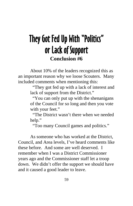# They Got Fed Up With "Politics" or Lack of Support **Conclusion #6**

 About 10% of the leaders recognized this as an important reason why we loose Scouters. Many included comments when mentioning this:

> "They got fed up with a lack of interest and lack of support from the District."

 "You can only put up with the shenanigans of the Council for so long and then you vote with your feet."

 "The District wasn't there when we needed help."

"Too many Council games and politics."

 As someone who has worked at the District, Council, and Area levels, I've heard comments like these before. And some are well deserved. I remember when I was a District Commissioner years ago and the Commissioner staff let a troop down. We didn't offer the support we should have and it caused a good leader to leave.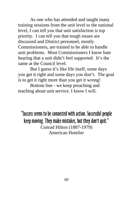As one who has attended and taught many training sessions from the unit level to the national level, I can tell you that unit satisfaction is top priority. I can tell you that tough issues are discussed and District personnel, mostly Commissioners, are trained to be able to handle unit problems. Most Commissioners I know hate hearing that a unit didn't feel supported. It's the same at the Council level.

 But I guess it's like life itself, some days you get it right and some days you don't. The goal is to get it right more than you get it wrong!

 Bottom line - we keep preaching and teaching about unit service. I know I will.

"Success seems to be connected with action. Successful people keep moving. They make mistakes, but they don't quit." Conrad Hilton (1887-1979) American Hotelier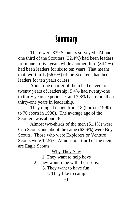# **Summary**

 There were 339 Scouters surveyed. About one third of the Scouters (32.4%) had been leaders from one to five years while another third (34.2%) had been leaders for six to ten years. That meant that two-thirds (66.6%) of the Scouters, had been leaders for ten years or less.

 About one quarter of them had eleven to twenty years of leadership, 5.4% had twenty-one to thirty years experience, and 3.8% had more than thirty-one years in leadership.

 They ranged in age from 18 (born in 1990) to 70 (born in 1938). The average age of the Scouters was about 46.

 Almost two-thirds of the men (61.1%) were Cub Scouts and about the same (62.6%) were Boy Scouts. Those who were Explorers or Venture Scouts were 12.5%. Almost one-third of the men are Eagle Scouts.

Why They Stay

1. They want to help boys

2. They want to be with their sons.

3. They want to have fun.

4. They like to camp.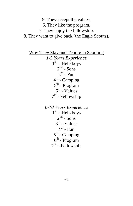5. They accept the values.

6. They like the program.

7. They enjoy the fellowship.

8. They want to give back (the Eagle Scouts).

Why They Stay and Tenure in Scouting *1-5 Years Experience*  $1<sup>st</sup>$  - Help boys  $2<sup>nd</sup>$  - Sons  $3^{rd}$  - Fun  $4<sup>th</sup>$  - Camping 5th - Program  $6<sup>th</sup>$  - Values  $7<sup>th</sup>$  - Fellowship

> *6-10 Years Experience*  $1<sup>st</sup>$  - Help boys  $2^{nd}$  - Sons 3rd - Values  $4^{\text{th}}$  - Fun  $5<sup>th</sup>$  - Camping  $6<sup>th</sup>$  - Program  $7<sup>th</sup>$  – Fellowship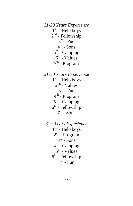*11-20 Years Experience*  $1<sup>st</sup>$  - Help boys  $2<sup>nd</sup>$  - Fellowship  $3<sup>rd</sup>$  - Fun  $4^{th}$  - Sons  $5<sup>th</sup>$  - Camping  $6<sup>th</sup>$  - Values  $7<sup>th</sup>$  - Program

- *21-30 Years Experience*  $1<sup>st</sup>$  - Help boys  $2<sup>nd</sup>$  - Values  $3^{rd}$  - Fun 4th - Program  $5<sup>th</sup>$  - Camping  $6<sup>th</sup>$  - Fellowship  $7<sup>th</sup>$  - Sons
- *31+ Years Experience*  $1<sup>st</sup>$  - Help boys  $2<sup>nd</sup>$  - Program  $3<sup>rd</sup>$  - Sons  $4<sup>th</sup>$  - Camping  $5<sup>th</sup>$  - Values  $6<sup>th</sup>$  - Fellowship  $7<sup>th</sup>$  - Fun